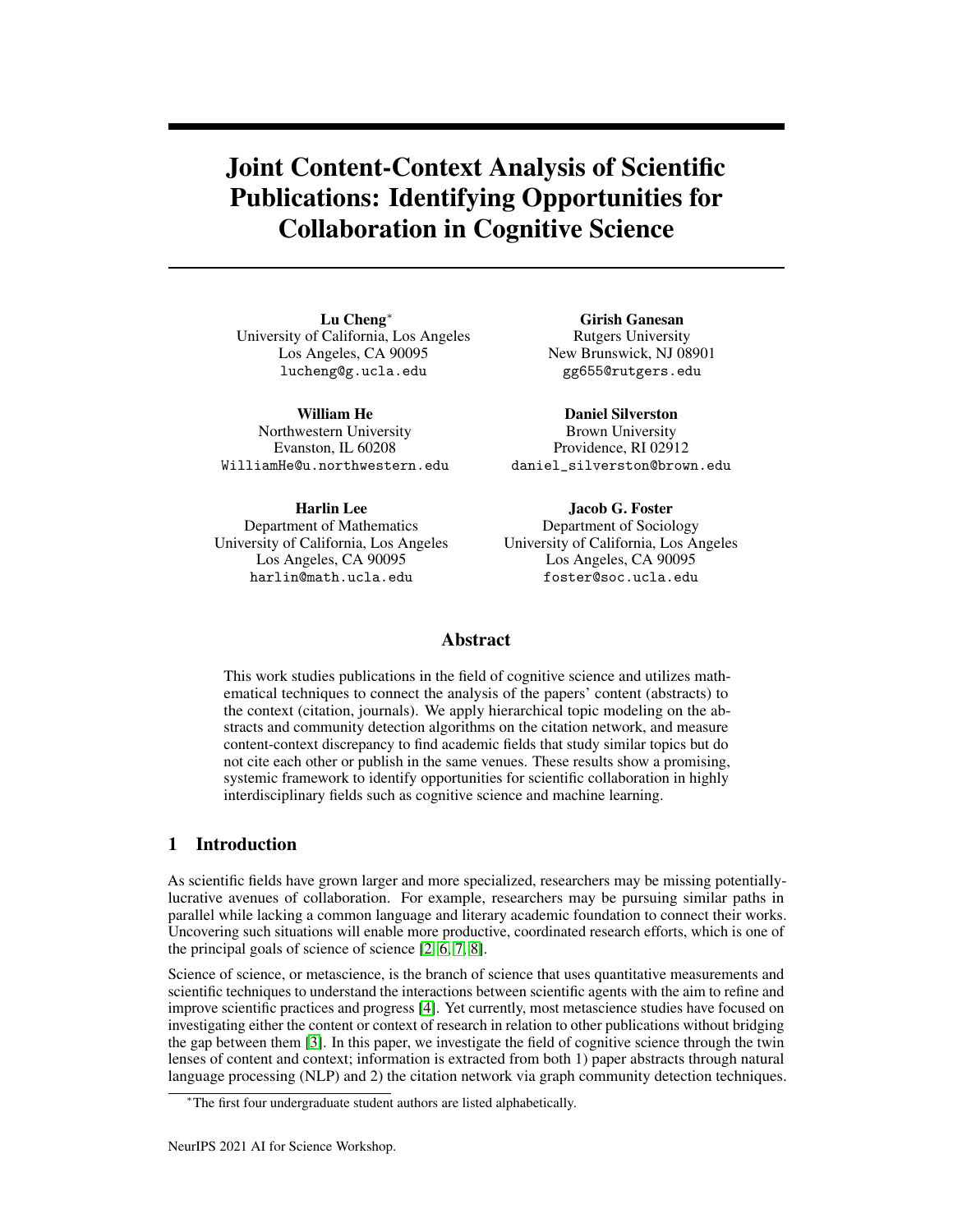# Joint Content-Context Analysis of Scientific Publications: Identifying Opportunities for Collaboration in Cognitive Science

Lu Cheng<sup>∗</sup> University of California, Los Angeles Los Angeles, CA 90095 lucheng@g.ucla.edu

William He Northwestern University Evanston, IL 60208 WilliamHe@u.northwestern.edu

Harlin Lee Department of Mathematics University of California, Los Angeles Los Angeles, CA 90095 harlin@math.ucla.edu

Girish Ganesan Rutgers University New Brunswick, NJ 08901 gg655@rutgers.edu

Daniel Silverston Brown University Providence, RI 02912 daniel\_silverston@brown.edu

Jacob G. Foster Department of Sociology University of California, Los Angeles Los Angeles, CA 90095 foster@soc.ucla.edu

# Abstract

This work studies publications in the field of cognitive science and utilizes mathematical techniques to connect the analysis of the papers' content (abstracts) to the context (citation, journals). We apply hierarchical topic modeling on the abstracts and community detection algorithms on the citation network, and measure content-context discrepancy to find academic fields that study similar topics but do not cite each other or publish in the same venues. These results show a promising, systemic framework to identify opportunities for scientific collaboration in highly interdisciplinary fields such as cognitive science and machine learning.

## 1 Introduction

As scientific fields have grown larger and more specialized, researchers may be missing potentiallylucrative avenues of collaboration. For example, researchers may be pursuing similar paths in parallel while lacking a common language and literary academic foundation to connect their works. Uncovering such situations will enable more productive, coordinated research efforts, which is one of the principal goals of science of science  $[2, 6, 7, 8]$  $[2, 6, 7, 8]$  $[2, 6, 7, 8]$  $[2, 6, 7, 8]$ .

Science of science, or metascience, is the branch of science that uses quantitative measurements and scientific techniques to understand the interactions between scientific agents with the aim to refine and improve scientific practices and progress [\[4\]](#page-4-4). Yet currently, most metascience studies have focused on investigating either the content or context of research in relation to other publications without bridging the gap between them [\[3\]](#page-4-5). In this paper, we investigate the field of cognitive science through the twin lenses of content and context; information is extracted from both 1) paper abstracts through natural language processing (NLP) and 2) the citation network via graph community detection techniques.

<sup>∗</sup>The first four undergraduate student authors are listed alphabetically.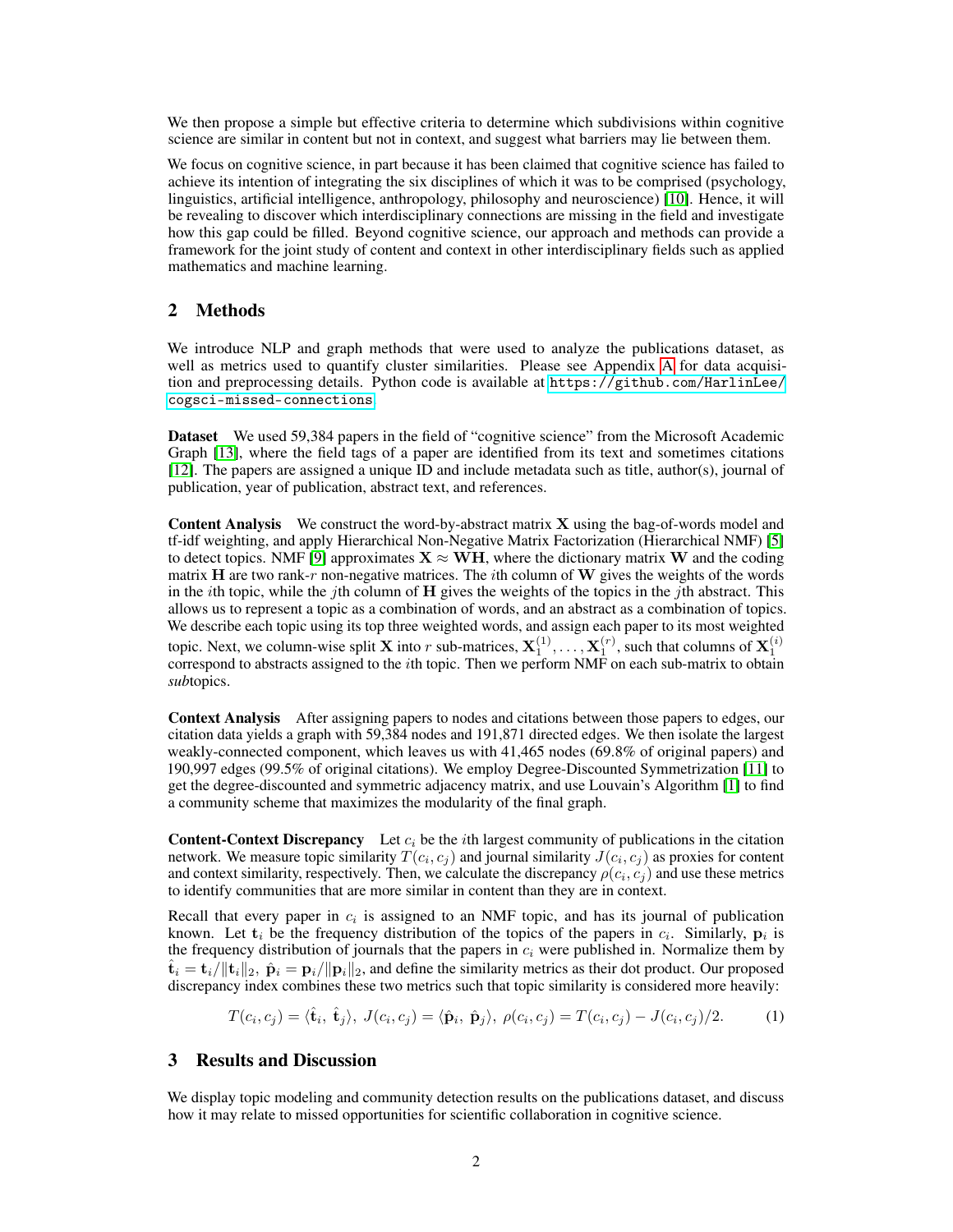We then propose a simple but effective criteria to determine which subdivisions within cognitive science are similar in content but not in context, and suggest what barriers may lie between them.

We focus on cognitive science, in part because it has been claimed that cognitive science has failed to achieve its intention of integrating the six disciplines of which it was to be comprised (psychology, linguistics, artificial intelligence, anthropology, philosophy and neuroscience) [\[10\]](#page-4-6). Hence, it will be revealing to discover which interdisciplinary connections are missing in the field and investigate how this gap could be filled. Beyond cognitive science, our approach and methods can provide a framework for the joint study of content and context in other interdisciplinary fields such as applied mathematics and machine learning.

## 2 Methods

We introduce NLP and graph methods that were used to analyze the publications dataset, as well as metrics used to quantify cluster similarities. Please see Appendix [A](#page-5-0) for data acquisition and preprocessing details. Python code is available at [https://github.com/HarlinLee/](https://github.com/HarlinLee/cogsci-missed-connections) [cogsci-missed-connections](https://github.com/HarlinLee/cogsci-missed-connections).

Dataset We used 59,384 papers in the field of "cognitive science" from the Microsoft Academic Graph [\[13\]](#page-4-7), where the field tags of a paper are identified from its text and sometimes citations [\[12\]](#page-4-8). The papers are assigned a unique ID and include metadata such as title, author(s), journal of publication, year of publication, abstract text, and references.

Content Analysis We construct the word-by-abstract matrix X using the bag-of-words model and tf-idf weighting, and apply Hierarchical Non-Negative Matrix Factorization (Hierarchical NMF) [\[5\]](#page-4-9) to detect topics. NMF [\[9\]](#page-4-10) approximates  $X \approx WH$ , where the dictionary matrix W and the coding matrix  $H$  are two rank-r non-negative matrices. The *i*th column of W gives the weights of the words in the *i*th topic, while the *j*th column of  $H$  gives the weights of the topics in the *j*th abstract. This allows us to represent a topic as a combination of words, and an abstract as a combination of topics. We describe each topic using its top three weighted words, and assign each paper to its most weighted topic. Next, we column-wise split **X** into *r* sub-matrices,  $\mathbf{X}_1^{(1)}, \ldots, \mathbf{X}_1^{(r)}$ , such that columns of  $\mathbf{X}_1^{(i)}$  correspond to abstracts assigned to the *i*th topic. Then we perform NMF on each sub-matrix to *sub*topics.

Context Analysis After assigning papers to nodes and citations between those papers to edges, our citation data yields a graph with 59,384 nodes and 191,871 directed edges. We then isolate the largest weakly-connected component, which leaves us with 41,465 nodes (69.8% of original papers) and 190,997 edges (99.5% of original citations). We employ Degree-Discounted Symmetrization [\[11\]](#page-4-11) to get the degree-discounted and symmetric adjacency matrix, and use Louvain's Algorithm [\[1\]](#page-4-12) to find a community scheme that maximizes the modularity of the final graph.

**Content-Context Discrepancy** Let  $c_i$  be the *i*th largest community of publications in the citation network. We measure topic similarity  $T(c_i, c_j)$  and journal similarity  $J(c_i, c_j)$  as proxies for content and context similarity, respectively. Then, we calculate the discrepancy  $\rho(c_i, c_j)$  and use these metrics to identify communities that are more similar in content than they are in context.

Recall that every paper in  $c_i$  is assigned to an NMF topic, and has its journal of publication known. Let  $t_i$  be the frequency distribution of the topics of the papers in  $c_i$ . Similarly,  $p_i$  is the frequency distribution of journals that the papers in  $c_i$  were published in. Normalize them by  $\hat{\mathbf{t}}_i = \mathbf{t}_i/||\mathbf{t}_i||_2$ ,  $\hat{\mathbf{p}}_i = \mathbf{p}_i/||\mathbf{p}_i||_2$ , and define the similarity metrics as their dot product. Our proposed discrepancy index combines these two metrics such that topic similarity is considered more heavily:

$$
T(c_i, c_j) = \langle \hat{\mathbf{t}}_i, \hat{\mathbf{t}}_j \rangle, J(c_i, c_j) = \langle \hat{\mathbf{p}}_i, \hat{\mathbf{p}}_j \rangle, \rho(c_i, c_j) = T(c_i, c_j) - J(c_i, c_j)/2.
$$
 (1)

# 3 Results and Discussion

We display topic modeling and community detection results on the publications dataset, and discuss how it may relate to missed opportunities for scientific collaboration in cognitive science.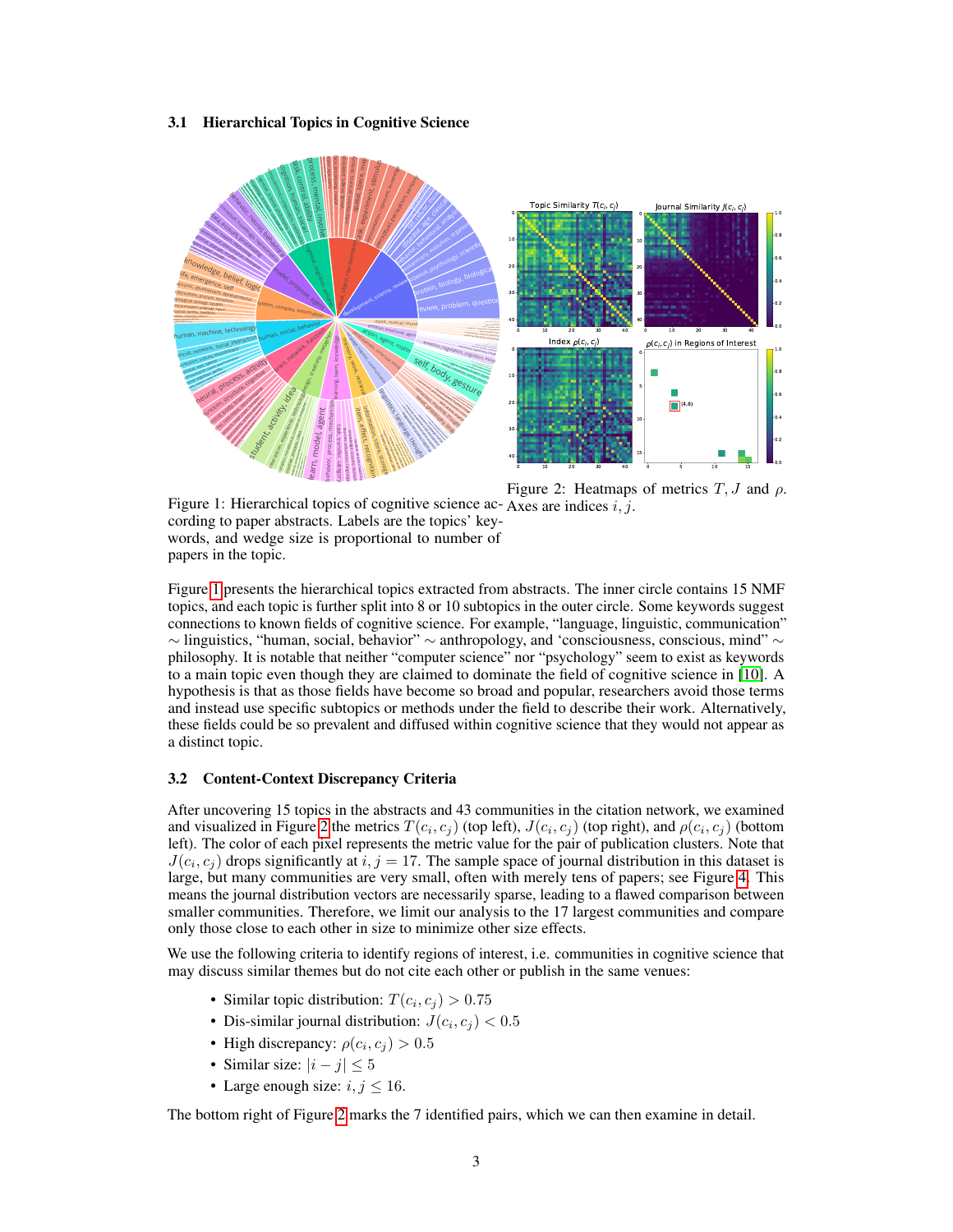#### 3.1 Hierarchical Topics in Cognitive Science

<span id="page-2-0"></span>

Figure 2: Heatmaps of metrics  $T, J$  and  $\rho$ .

Figure 1: Hierarchical topics of cognitive science ac-Axes are indices  $i, j$ . cording to paper abstracts. Labels are the topics' keywords, and wedge size is proportional to number of papers in the topic.

Figure [1](#page-2-0) presents the hierarchical topics extracted from abstracts. The inner circle contains 15 NMF topics, and each topic is further split into 8 or 10 subtopics in the outer circle. Some keywords suggest connections to known fields of cognitive science. For example, "language, linguistic, communication"  $\sim$  linguistics, "human, social, behavior"  $\sim$  anthropology, and 'consciousness, conscious, mind"  $\sim$ philosophy. It is notable that neither "computer science" nor "psychology" seem to exist as keywords to a main topic even though they are claimed to dominate the field of cognitive science in [\[10\]](#page-4-6). A hypothesis is that as those fields have become so broad and popular, researchers avoid those terms and instead use specific subtopics or methods under the field to describe their work. Alternatively, these fields could be so prevalent and diffused within cognitive science that they would not appear as a distinct topic.

#### 3.2 Content-Context Discrepancy Criteria

After uncovering 15 topics in the abstracts and 43 communities in the citation network, we examined and visualized in Figure [2](#page-2-0) the metrics  $T(c_i, c_j)$  (top left),  $J(c_i, c_j)$  (top right), and  $\rho(c_i, c_j)$  (bottom left). The color of each pixel represents the metric value for the pair of publication clusters. Note that  $J(c_i, c_j)$  drops significantly at  $i, j = 17$ . The sample space of journal distribution in this dataset is large, but many communities are very small, often with merely tens of papers; see Figure [4.](#page-5-1) This means the journal distribution vectors are necessarily sparse, leading to a flawed comparison between smaller communities. Therefore, we limit our analysis to the 17 largest communities and compare only those close to each other in size to minimize other size effects.

We use the following criteria to identify regions of interest, i.e. communities in cognitive science that may discuss similar themes but do not cite each other or publish in the same venues:

- Similar topic distribution:  $T(c_i, c_j) > 0.75$
- Dis-similar journal distribution:  $J(c_i, c_j) < 0.5$
- High discrepancy:  $\rho(c_i, c_j) > 0.5$
- Similar size:  $|i j| \leq 5$
- Large enough size:  $i, j \leq 16$ .

The bottom right of Figure [2](#page-2-0) marks the 7 identified pairs, which we can then examine in detail.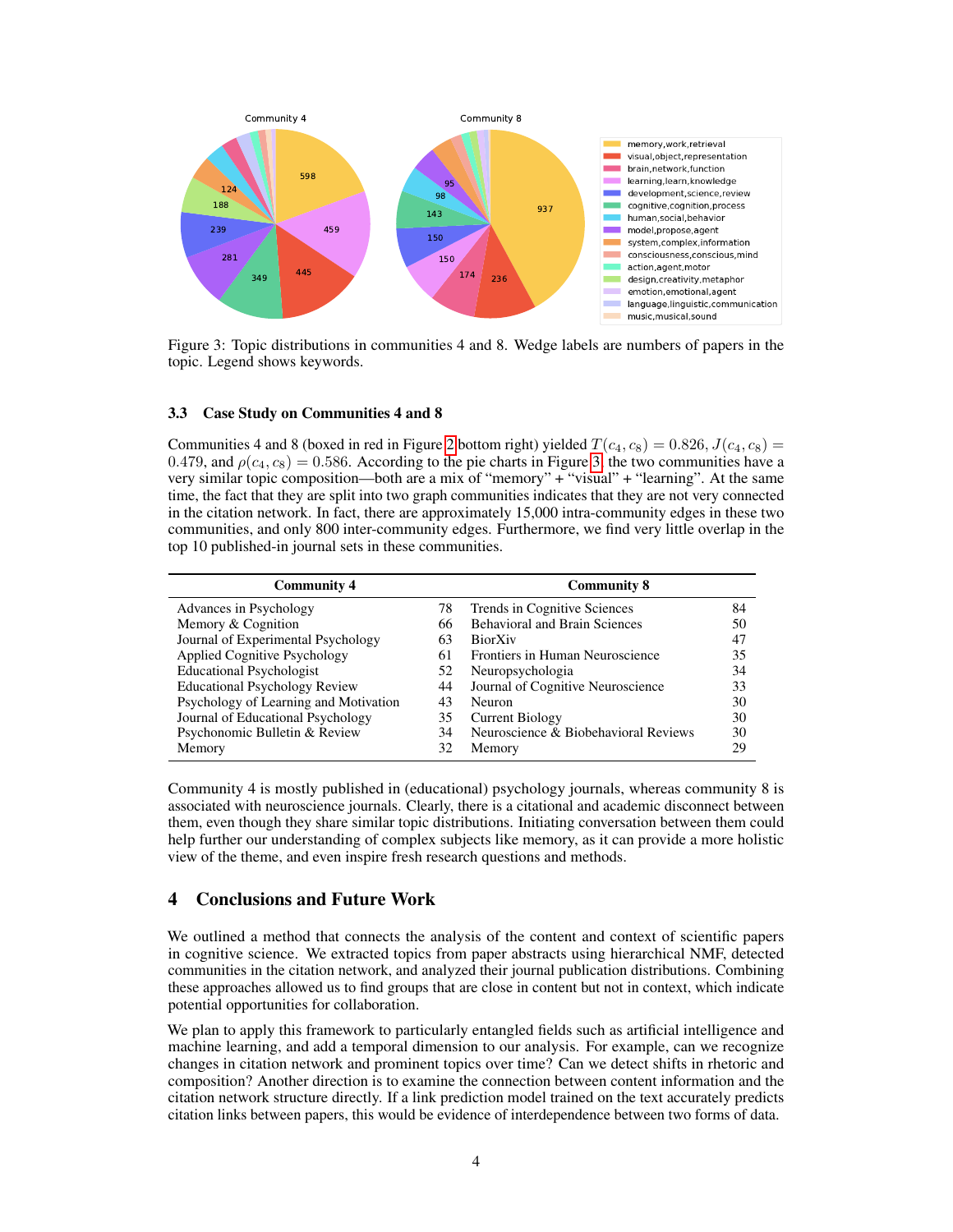<span id="page-3-0"></span>

Figure 3: Topic distributions in communities 4 and 8. Wedge labels are numbers of papers in the topic. Legend shows keywords.

#### 3.3 Case Study on Communities 4 and 8

Communities 4 and 8 (boxed in red in Figure [2](#page-2-0) bottom right) yielded  $T(c_4, c_8) = 0.826, J(c_4, c_8) =$ 0.479, and  $\rho(c_4, c_8) = 0.586$ . According to the pie charts in Figure [3,](#page-3-0) the two communities have a very similar topic composition—both are a mix of "memory" + "visual" + "learning". At the same time, the fact that they are split into two graph communities indicates that they are not very connected in the citation network. In fact, there are approximately 15,000 intra-community edges in these two communities, and only 800 inter-community edges. Furthermore, we find very little overlap in the top 10 published-in journal sets in these communities.

| <b>Community 4</b>                    |    | <b>Community 8</b>                   |    |
|---------------------------------------|----|--------------------------------------|----|
| Advances in Psychology                | 78 | Trends in Cognitive Sciences         | 84 |
| Memory & Cognition                    | 66 | <b>Behavioral and Brain Sciences</b> | 50 |
| Journal of Experimental Psychology    | 63 | <b>BiorXiv</b>                       | 47 |
| <b>Applied Cognitive Psychology</b>   | 61 | Frontiers in Human Neuroscience      | 35 |
| <b>Educational Psychologist</b>       | 52 | Neuropsychologia                     | 34 |
| <b>Educational Psychology Review</b>  | 44 | Journal of Cognitive Neuroscience    | 33 |
| Psychology of Learning and Motivation | 43 | Neuron                               | 30 |
| Journal of Educational Psychology     | 35 | <b>Current Biology</b>               | 30 |
| Psychonomic Bulletin & Review         | 34 | Neuroscience & Biobehavioral Reviews | 30 |
| Memory                                | 32 | Memory                               | 29 |

Community 4 is mostly published in (educational) psychology journals, whereas community 8 is associated with neuroscience journals. Clearly, there is a citational and academic disconnect between them, even though they share similar topic distributions. Initiating conversation between them could help further our understanding of complex subjects like memory, as it can provide a more holistic view of the theme, and even inspire fresh research questions and methods.

## 4 Conclusions and Future Work

We outlined a method that connects the analysis of the content and context of scientific papers in cognitive science. We extracted topics from paper abstracts using hierarchical NMF, detected communities in the citation network, and analyzed their journal publication distributions. Combining these approaches allowed us to find groups that are close in content but not in context, which indicate potential opportunities for collaboration.

We plan to apply this framework to particularly entangled fields such as artificial intelligence and machine learning, and add a temporal dimension to our analysis. For example, can we recognize changes in citation network and prominent topics over time? Can we detect shifts in rhetoric and composition? Another direction is to examine the connection between content information and the citation network structure directly. If a link prediction model trained on the text accurately predicts citation links between papers, this would be evidence of interdependence between two forms of data.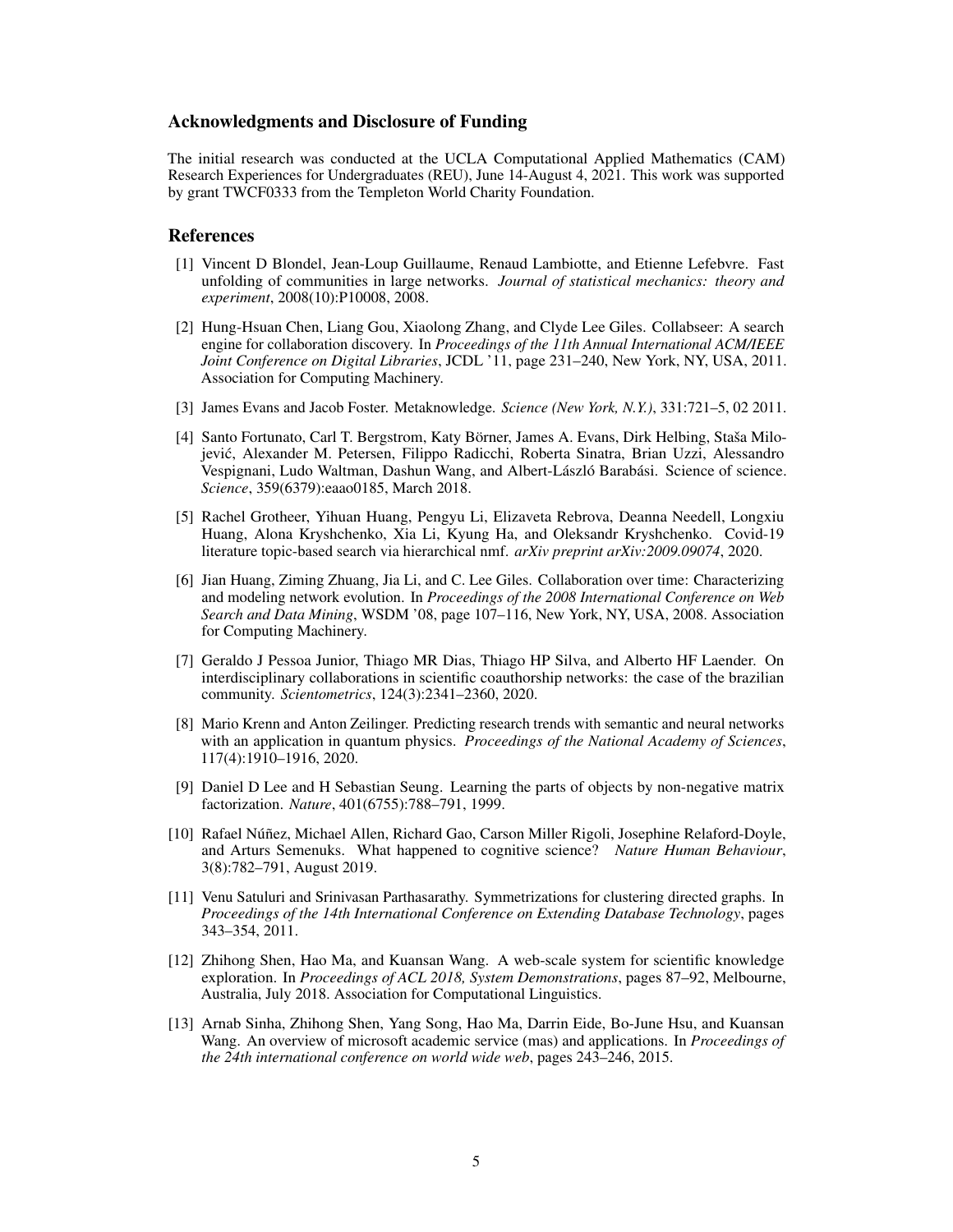## Acknowledgments and Disclosure of Funding

The initial research was conducted at the UCLA Computational Applied Mathematics (CAM) Research Experiences for Undergraduates (REU), June 14-August 4, 2021. This work was supported by grant TWCF0333 from the Templeton World Charity Foundation.

## References

- <span id="page-4-12"></span>[1] Vincent D Blondel, Jean-Loup Guillaume, Renaud Lambiotte, and Etienne Lefebvre. Fast unfolding of communities in large networks. *Journal of statistical mechanics: theory and experiment*, 2008(10):P10008, 2008.
- <span id="page-4-0"></span>[2] Hung-Hsuan Chen, Liang Gou, Xiaolong Zhang, and Clyde Lee Giles. Collabseer: A search engine for collaboration discovery. In *Proceedings of the 11th Annual International ACM/IEEE Joint Conference on Digital Libraries*, JCDL '11, page 231–240, New York, NY, USA, 2011. Association for Computing Machinery.
- <span id="page-4-5"></span>[3] James Evans and Jacob Foster. Metaknowledge. *Science (New York, N.Y.)*, 331:721–5, 02 2011.
- <span id="page-4-4"></span>[4] Santo Fortunato, Carl T. Bergstrom, Katy Börner, James A. Evans, Dirk Helbing, Staša Milojevic, Alexander M. Petersen, Filippo Radicchi, Roberta Sinatra, Brian Uzzi, Alessandro ´ Vespignani, Ludo Waltman, Dashun Wang, and Albert-László Barabási. Science of science. *Science*, 359(6379):eaao0185, March 2018.
- <span id="page-4-9"></span>[5] Rachel Grotheer, Yihuan Huang, Pengyu Li, Elizaveta Rebrova, Deanna Needell, Longxiu Huang, Alona Kryshchenko, Xia Li, Kyung Ha, and Oleksandr Kryshchenko. Covid-19 literature topic-based search via hierarchical nmf. *arXiv preprint arXiv:2009.09074*, 2020.
- <span id="page-4-1"></span>[6] Jian Huang, Ziming Zhuang, Jia Li, and C. Lee Giles. Collaboration over time: Characterizing and modeling network evolution. In *Proceedings of the 2008 International Conference on Web Search and Data Mining*, WSDM '08, page 107–116, New York, NY, USA, 2008. Association for Computing Machinery.
- <span id="page-4-2"></span>[7] Geraldo J Pessoa Junior, Thiago MR Dias, Thiago HP Silva, and Alberto HF Laender. On interdisciplinary collaborations in scientific coauthorship networks: the case of the brazilian community. *Scientometrics*, 124(3):2341–2360, 2020.
- <span id="page-4-3"></span>[8] Mario Krenn and Anton Zeilinger. Predicting research trends with semantic and neural networks with an application in quantum physics. *Proceedings of the National Academy of Sciences*, 117(4):1910–1916, 2020.
- <span id="page-4-10"></span>[9] Daniel D Lee and H Sebastian Seung. Learning the parts of objects by non-negative matrix factorization. *Nature*, 401(6755):788–791, 1999.
- <span id="page-4-6"></span>[10] Rafael Núñez, Michael Allen, Richard Gao, Carson Miller Rigoli, Josephine Relaford-Doyle, and Arturs Semenuks. What happened to cognitive science? *Nature Human Behaviour*, 3(8):782–791, August 2019.
- <span id="page-4-11"></span>[11] Venu Satuluri and Srinivasan Parthasarathy. Symmetrizations for clustering directed graphs. In *Proceedings of the 14th International Conference on Extending Database Technology*, pages 343–354, 2011.
- <span id="page-4-8"></span>[12] Zhihong Shen, Hao Ma, and Kuansan Wang. A web-scale system for scientific knowledge exploration. In *Proceedings of ACL 2018, System Demonstrations*, pages 87–92, Melbourne, Australia, July 2018. Association for Computational Linguistics.
- <span id="page-4-7"></span>[13] Arnab Sinha, Zhihong Shen, Yang Song, Hao Ma, Darrin Eide, Bo-June Hsu, and Kuansan Wang. An overview of microsoft academic service (mas) and applications. In *Proceedings of the 24th international conference on world wide web*, pages 243–246, 2015.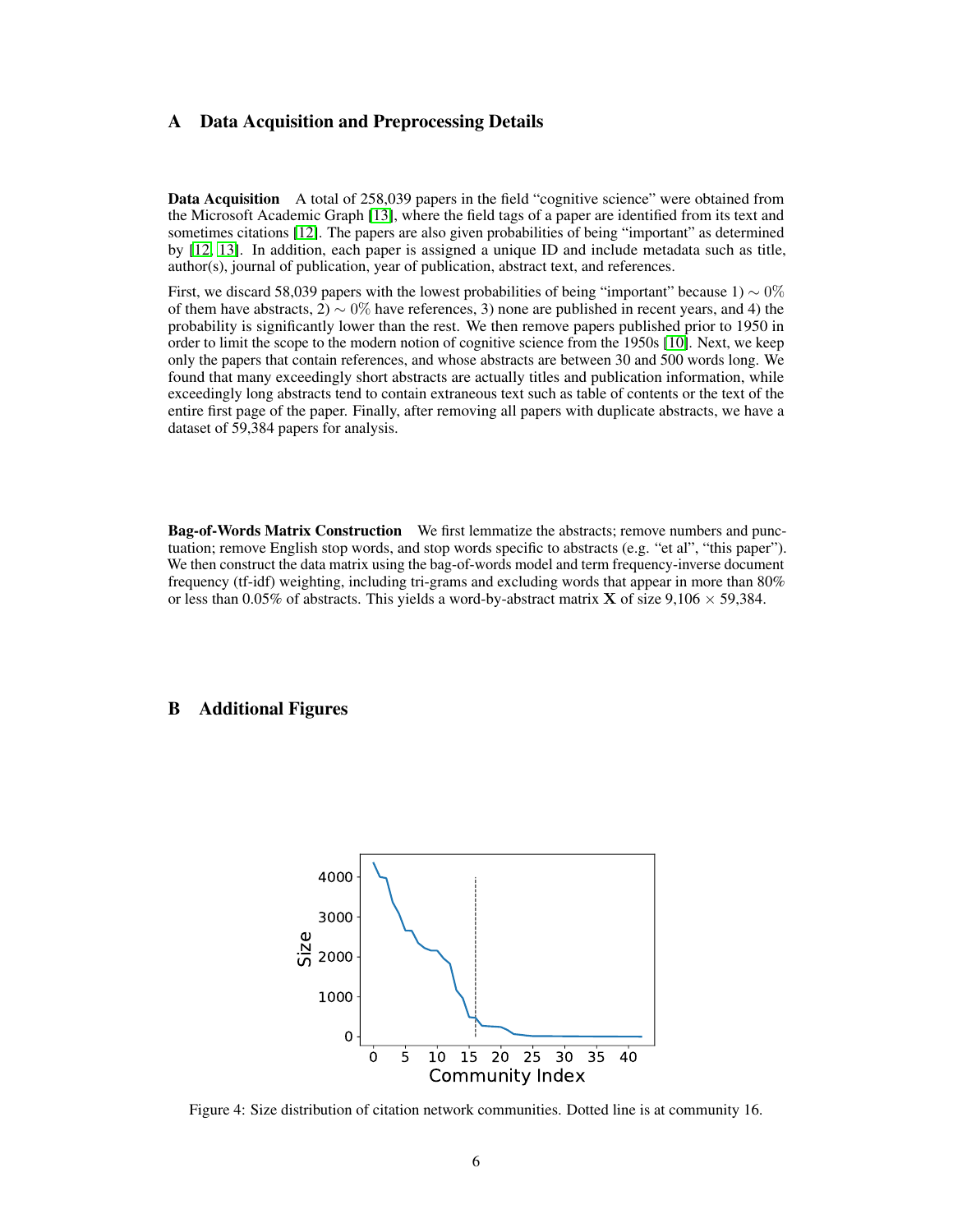## <span id="page-5-0"></span>A Data Acquisition and Preprocessing Details

**Data Acquisition** A total of 258,039 papers in the field "cognitive science" were obtained from the Microsoft Academic Graph [\[13\]](#page-4-7), where the field tags of a paper are identified from its text and sometimes citations [\[12\]](#page-4-8). The papers are also given probabilities of being "important" as determined by [\[12,](#page-4-8) [13\]](#page-4-7). In addition, each paper is assigned a unique ID and include metadata such as title, author(s), journal of publication, year of publication, abstract text, and references.

First, we discard 58,039 papers with the lowest probabilities of being "important" because  $1 \sim 0\%$ of them have abstracts,  $2) \sim 0\%$  have references, 3) none are published in recent years, and 4) the probability is significantly lower than the rest. We then remove papers published prior to 1950 in order to limit the scope to the modern notion of cognitive science from the 1950s [\[10\]](#page-4-6). Next, we keep only the papers that contain references, and whose abstracts are between 30 and 500 words long. We found that many exceedingly short abstracts are actually titles and publication information, while exceedingly long abstracts tend to contain extraneous text such as table of contents or the text of the entire first page of the paper. Finally, after removing all papers with duplicate abstracts, we have a dataset of 59,384 papers for analysis.

Bag-of-Words Matrix Construction We first lemmatize the abstracts; remove numbers and punctuation; remove English stop words, and stop words specific to abstracts (e.g. "et al", "this paper"). We then construct the data matrix using the bag-of-words model and term frequency-inverse document frequency (tf-idf) weighting, including tri-grams and excluding words that appear in more than 80% or less than 0.05% of abstracts. This yields a word-by-abstract matrix **X** of size  $9,106 \times 59,384$ .

## B Additional Figures

<span id="page-5-1"></span>

Figure 4: Size distribution of citation network communities. Dotted line is at community 16.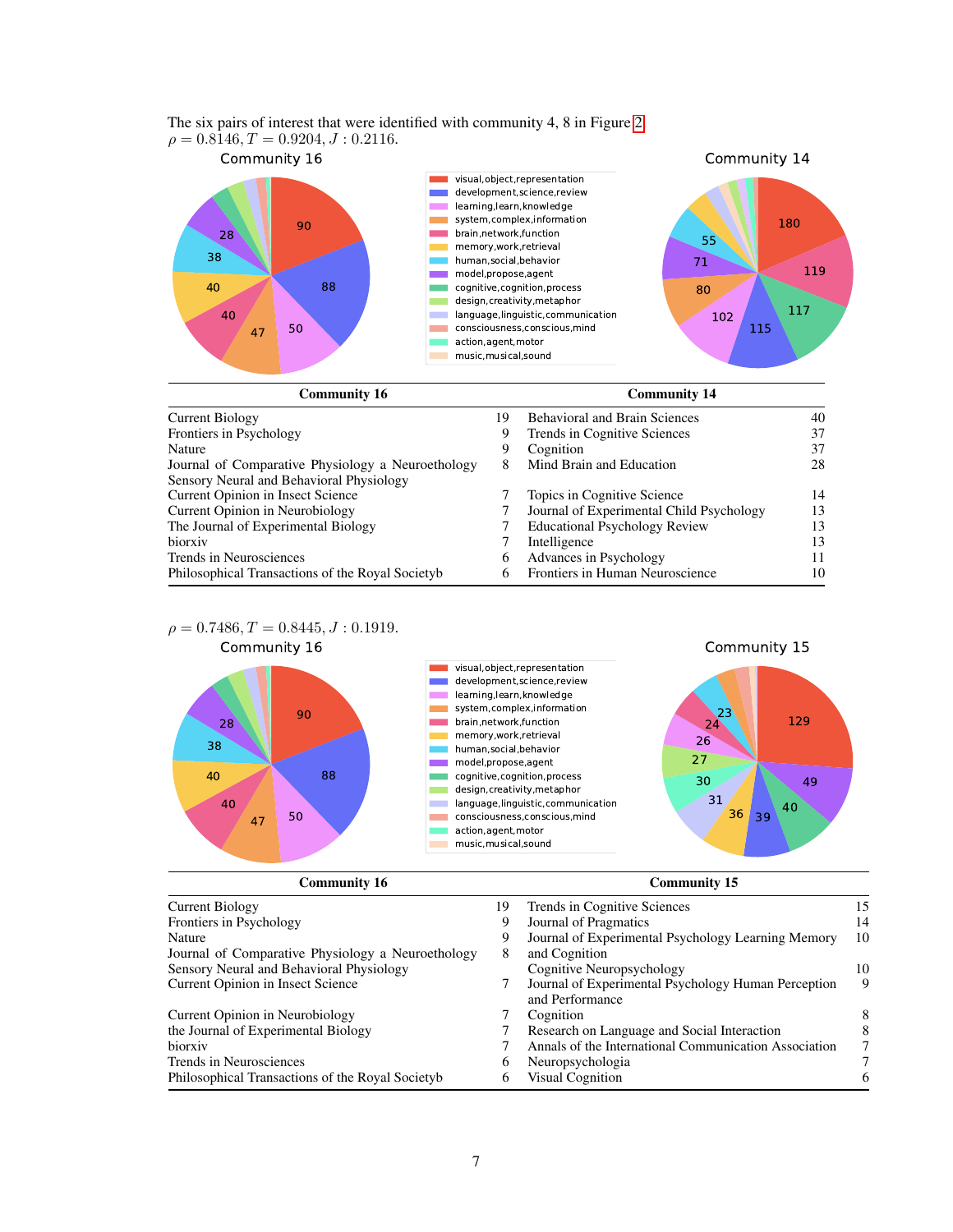

| $\sim$                                            |    |                                          |    |  |  |  |  |
|---------------------------------------------------|----|------------------------------------------|----|--|--|--|--|
| <b>Current Biology</b>                            | 19 | <b>Behavioral and Brain Sciences</b>     | 40 |  |  |  |  |
| Frontiers in Psychology                           | 9  | Trends in Cognitive Sciences             | 37 |  |  |  |  |
| Nature                                            | 9  | Cognition                                | 37 |  |  |  |  |
| Journal of Comparative Physiology a Neuroethology | 8  | Mind Brain and Education                 | 28 |  |  |  |  |
| Sensory Neural and Behavioral Physiology          |    |                                          |    |  |  |  |  |
| Current Opinion in Insect Science                 |    | Topics in Cognitive Science              | 14 |  |  |  |  |
| Current Opinion in Neurobiology                   |    | Journal of Experimental Child Psychology | 13 |  |  |  |  |
| The Journal of Experimental Biology               |    | <b>Educational Psychology Review</b>     |    |  |  |  |  |
| biorxiv                                           |    | Intelligence                             | 13 |  |  |  |  |
| Trends in Neurosciences                           | 6  | Advances in Psychology                   |    |  |  |  |  |
| Philosophical Transactions of the Royal Societyb  | 6  | Frontiers in Human Neuroscience          | 10 |  |  |  |  |



| <b>Community 16</b>                               |    | <b>Community 15</b>                                                    |        |  |
|---------------------------------------------------|----|------------------------------------------------------------------------|--------|--|
| Current Biology                                   | 19 | Trends in Cognitive Sciences                                           | 15     |  |
| Frontiers in Psychology                           | 9  | Journal of Pragmatics                                                  | 14     |  |
| <b>Nature</b>                                     | 9  | Journal of Experimental Psychology Learning Memory                     | 10     |  |
| Journal of Comparative Physiology a Neuroethology | 8  | and Cognition                                                          |        |  |
| Sensory Neural and Behavioral Physiology          |    | Cognitive Neuropsychology                                              | 10     |  |
| Current Opinion in Insect Science                 |    | Journal of Experimental Psychology Human Perception<br>and Performance | 9      |  |
| Current Opinion in Neurobiology                   |    | Cognition                                                              | 8      |  |
| the Journal of Experimental Biology               |    | Research on Language and Social Interaction                            | 8      |  |
| biorxiv                                           |    | Annals of the International Communication Association                  |        |  |
| Trends in Neurosciences                           | 6  | Neuropsychologia                                                       | $\tau$ |  |
| Philosophical Transactions of the Royal Societyb  | 6  | <b>Visual Cognition</b>                                                | 6      |  |

The six pairs of interest that were identified with community 4, 8 in Figure [2.](#page-2-0)  $\rho = 0.8146, T = 0.9204, J: 0.2116.$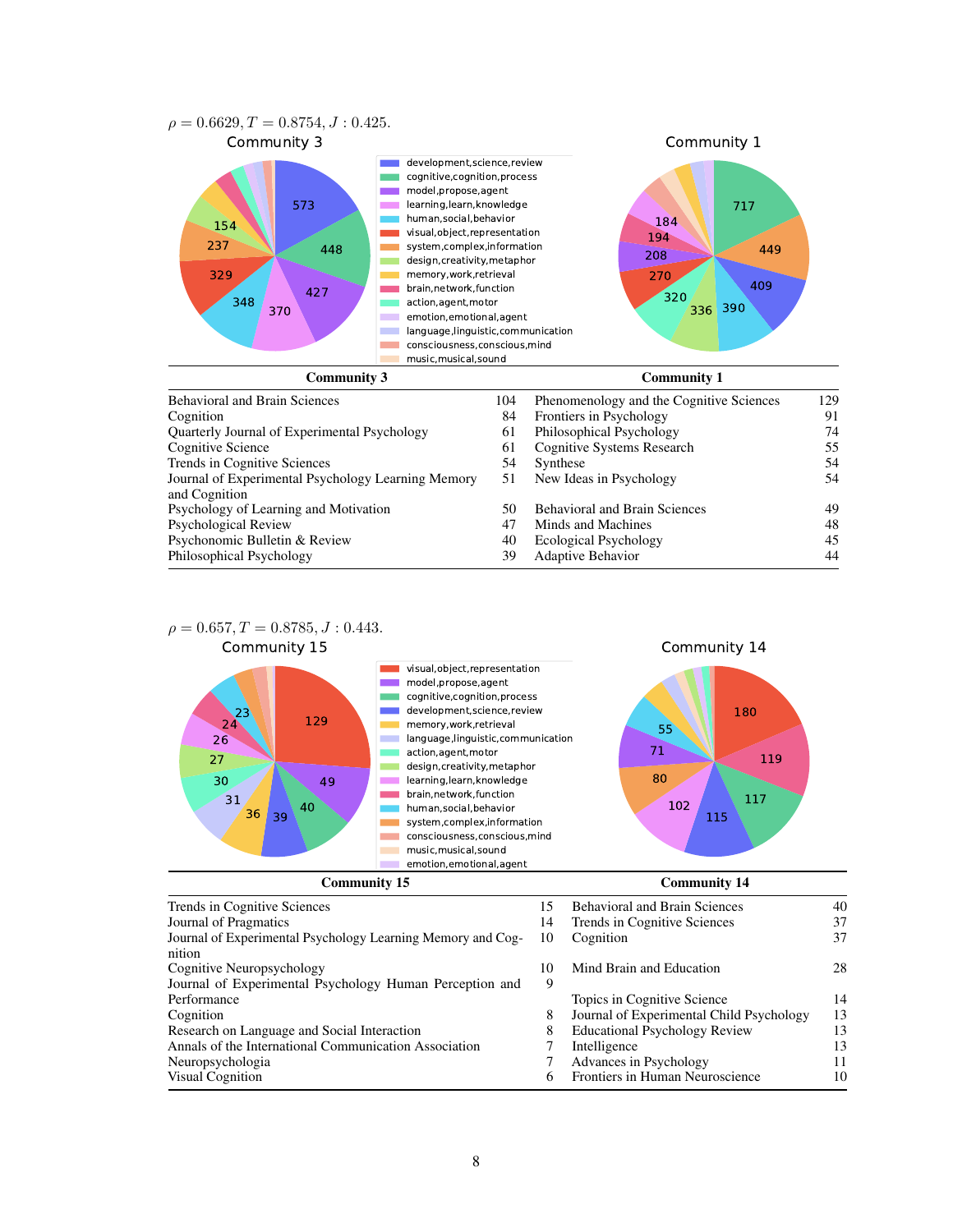

| 104 | Phenomenology and the Cognitive Sciences | 129 |
|-----|------------------------------------------|-----|
| 84  | Frontiers in Psychology                  | 91  |
| 61  | Philosophical Psychology                 | 74  |
| 61  | <b>Cognitive Systems Research</b>        | 55  |
| 54  | Synthese                                 | 54  |
| 51  | New Ideas in Psychology                  | 54  |
|     |                                          |     |
| 50  | <b>Behavioral and Brain Sciences</b>     | 49  |
| 47  | Minds and Machines                       | 48  |
| 40  | <b>Ecological Psychology</b>             | 45  |
| 39  | <b>Adaptive Behavior</b>                 | 44  |
|     |                                          |     |



| Trends in Cognitive Sciences                                          | 15 | <b>Behavioral and Brain Sciences</b>     | 40 |
|-----------------------------------------------------------------------|----|------------------------------------------|----|
| Journal of Pragmatics                                                 | 14 | Trends in Cognitive Sciences             | 37 |
| Journal of Experimental Psychology Learning Memory and Cog-<br>nition | 10 | Cognition                                | 37 |
| Cognitive Neuropsychology                                             | 10 | Mind Brain and Education                 | 28 |
| Journal of Experimental Psychology Human Perception and               | 9  |                                          |    |
| Performance                                                           |    | Topics in Cognitive Science              | 14 |
| Cognition                                                             | 8  | Journal of Experimental Child Psychology | 13 |
| Research on Language and Social Interaction                           | 8  | <b>Educational Psychology Review</b>     | 13 |
| Annals of the International Communication Association                 |    | Intelligence                             | 13 |
| Neuropsychologia                                                      |    | Advances in Psychology                   | 11 |
| Visual Cognition                                                      | 6  | Frontiers in Human Neuroscience          | 10 |
|                                                                       |    |                                          |    |